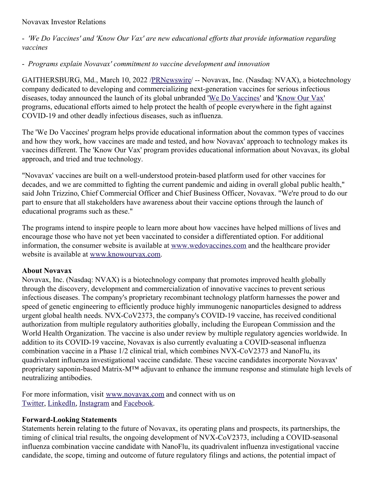#### Novavax Investor Relations

- *'We Do Vaccines' and 'Know Our Vax' are new educational ef orts that provide information regarding vaccines*

# - *Programs explain Novavax' commitment to vaccine development and innovation*

GAITHERSBURG, Md., March 10, 2022 [/PRNewswire](http://www.prnewswire.com/)/ -- Novavax, Inc. (Nasdaq: NVAX), a biotechnology company dedicated to developing and commercializing next-generation vaccines for serious infectious diseases, today announced the launch of its global unbranded 'We Do [Vaccines](https://c212.net/c/link/?t=0&l=en&o=3468579-1&h=397639888&u=http%3A%2F%2Fwww.wedovaccines.com%2F&a=We+Do+Vaccines)' and '[Know](https://c212.net/c/link/?t=0&l=en&o=3468579-1&h=265655208&u=https%3A%2F%2Fwww.knowourvax.com%2F&a=Know+Our+Vax) Our Vax' programs, educational efforts aimed to help protect the health of people everywhere in the fight against COVID-19 and other deadly infectious diseases, such as influenza.

The 'We Do Vaccines' program helps provide educational information about the common types of vaccines and how they work, how vaccines are made and tested, and how Novavax' approach to technology makes its vaccines different. The 'Know Our Vax' program provides educational information about Novavax, its global approach, and tried and true technology.

"Novavax' vaccines are built on a well-understood protein-based platform used for other vaccines for decades, and we are committed to fighting the current pandemic and aiding in overall global public health," said John Trizzino, Chief Commercial Officer and Chief Business Officer, Novavax. "We're proud to do our part to ensure that all stakeholders have awareness about their vaccine options through the launch of educational programs such as these."

The programs intend to inspire people to learn more about how vaccines have helped millions of lives and encourage those who have not yet been vaccinated to consider a differentiated option. For additional information, the consumer website is available at [www.wedovaccines.com](https://c212.net/c/link/?t=0&l=en&o=3468579-1&h=733694958&u=http%3A%2F%2Fwww.wedovaccines.com%2F&a=www.wedovaccines.com) and the healthcare provider website is available at [www.knowourvax.com.](https://c212.net/c/link/?t=0&l=en&o=3468579-1&h=1047478940&u=http%3A%2F%2Fwww.knowourvax.com%2F&a=www.knowourvax.com)

# **About Novavax**

Novavax, Inc. (Nasdaq: NVAX) is a biotechnology company that promotes improved health globally through the discovery, development and commercialization of innovative vaccines to prevent serious infectious diseases. The company's proprietary recombinant technology platform harnesses the power and speed of genetic engineering to efficiently produce highly immunogenic nanoparticles designed to address urgent global health needs. NVX-CoV2373, the company's COVID-19 vaccine, has received conditional authorization from multiple regulatory authorities globally, including the European Commission and the World Health Organization. The vaccine is also under review by multiple regulatory agencies worldwide. In addition to its COVID-19 vaccine, Novavax is also currently evaluating a COVID-seasonal influenza combination vaccine in a Phase 1/2 clinical trial, which combines NVX-CoV2373 and NanoFlu, its quadrivalent influenza investigational vaccine candidate. These vaccine candidates incorporate Novavax' proprietary saponin-based Matrix-M™ adjuvant to enhance the immune response and stimulate high levels of neutralizing antibodies.

For more information, visit [www.novavax.com](https://c212.net/c/link/?t=0&l=en&o=3468579-1&h=3751448096&u=https%3A%2F%2Fc212.net%2Fc%2Flink%2F%3Ft%3D0%26l%3Den%26o%3D3395501-1%26h%3D2463599076%26u%3Dhttps%253A%252F%252Fc212.net%252Fc%252Flink%252F%253Ft%253D0%2526l%253Den%2526o%253D3392093-1%2526h%253D203886192%2526u%253Dhttps%25253A%25252F%25252Fc212.net%25252Fc%25252Flink%25252F%25253Ft%25253D0%252526l%25253Den%252526o%25253D3387216-1%252526h%25253D3917401194%252526u%25253Dhttps%2525253A%2525252F%2525252Fc212.net%2525252Fc%2525252Flink%2525252F%2525253Ft%2525253D0%25252526l%2525253Den%25252526o%2525253D3260461-1%25252526h%2525253D2897486098%25252526u%2525253Dhttp%252525253A%252525252F%252525252Fwww.novavax.com%252525252F%25252526a%2525253Dwww.novavax.com%252526a%25253Dwww.novavax.com%2526a%253Dwww.novavax.com%26a%3Dwww.novavax.com&a=www.novavax.com) and connect with us on [Twitter](https://c212.net/c/link/?t=0&l=en&o=3468579-1&h=1193257773&u=https%3A%2F%2Fc212.net%2Fc%2Flink%2F%3Ft%3D0%26l%3Den%26o%3D3460980-1%26h%3D2111058387%26u%3Dhttps%253A%252F%252Fc212.net%252Fc%252Flink%252F%253Ft%253D0%2526l%253Den%2526o%253D3457869-1%2526h%253D572566602%2526u%253Dhttps%25253A%25252F%25252Fc212.net%25252Fc%25252Flink%25252F%25253Ft%25253D0%252526l%25253Den%252526o%25253D3440781-1%252526h%25253D105479535%252526u%25253Dhttps%2525253A%2525252F%2525252Fc212.net%2525252Fc%2525252Flink%2525252F%2525253Ft%2525253D0%25252526l%2525253Den%25252526o%2525253D3395501-1%25252526h%2525253D4221703946%25252526u%2525253Dhttps%252525253A%252525252F%252525252Fc212.net%252525252Fc%252525252Flink%252525252F%252525253Ft%252525253D0%2525252526l%252525253Den%2525252526o%252525253D3392093-1%2525252526h%252525253D1222342448%2525252526u%252525253Dhttps%25252525253A%25252525252F%25252525252Fc212.net%25252525252Fc%25252525252Flink%25252525252F%25252525253Ft%25252525253D0%252525252526l%25252525253Den%252525252526o%25252525253D3387216-1%252525252526h%25252525253D3606837610%252525252526u%25252525253Dhttps%2525252525253A%2525252525252F%2525252525252Fc212.net%2525252525252Fc%2525252525252Flink%2525252525252F%2525252525253Ft%2525252525253D0%25252525252526l%2525252525253Den%25252525252526o%2525252525253D3260461-1%25252525252526h%2525252525253D1316526774%25252525252526u%2525252525253Dhttps%252525252525253A%252525252525252F%252525252525252Fc212.net%252525252525252Fc%252525252525252Flink%252525252525252F%252525252525253Ft%252525252525253D0%2525252525252526l%252525252525253Den%2525252525252526o%252525252525253D3158017-1%2525252525252526h%252525252525253D500821283%2525252525252526u%252525252525253Dhttps%25252525252525253A%25252525252525252F%25252525252525252Ftwitter.com%25252525252525252FNovavax%2525252525252526a%252525252525253DTwitter%25252525252526a%2525252525253DTwitter%252525252526a%25252525253DTwitter%2525252526a%252525253DTwitter%25252526a%2525253DTwitter%252526a%25253DTwitter%2526a%253DTwitter%26a%3DTwitter&a=Twitter), [LinkedIn](https://c212.net/c/link/?t=0&l=en&o=3468579-1&h=2506377522&u=https%3A%2F%2Fc212.net%2Fc%2Flink%2F%3Ft%3D0%26l%3Den%26o%3D3460980-1%26h%3D91088807%26u%3Dhttps%253A%252F%252Fc212.net%252Fc%252Flink%252F%253Ft%253D0%2526l%253Den%2526o%253D3457869-1%2526h%253D1725473980%2526u%253Dhttps%25253A%25252F%25252Fc212.net%25252Fc%25252Flink%25252F%25253Ft%25253D0%252526l%25253Den%252526o%25253D3440781-1%252526h%25253D2733326919%252526u%25253Dhttps%2525253A%2525252F%2525252Fc212.net%2525252Fc%2525252Flink%2525252F%2525253Ft%2525253D0%25252526l%2525253Den%25252526o%2525253D3395501-1%25252526h%2525253D853375093%25252526u%2525253Dhttps%252525253A%252525252F%252525252Fc212.net%252525252Fc%252525252Flink%252525252F%252525253Ft%252525253D0%2525252526l%252525253Den%2525252526o%252525253D3392093-1%2525252526h%252525253D1325598136%2525252526u%252525253Dhttps%25252525253A%25252525252F%25252525252Fc212.net%25252525252Fc%25252525252Flink%25252525252F%25252525253Ft%25252525253D0%252525252526l%25252525253Den%252525252526o%25252525253D3387216-1%252525252526h%25252525253D2935962557%252525252526u%25252525253Dhttps%2525252525253A%2525252525252F%2525252525252Fc212.net%2525252525252Fc%2525252525252Flink%2525252525252F%2525252525253Ft%2525252525253D0%25252525252526l%2525252525253Den%25252525252526o%2525252525253D3260461-1%25252525252526h%2525252525253D1508558197%25252525252526u%2525252525253Dhttps%252525252525253A%252525252525252F%252525252525252Fc212.net%252525252525252Fc%252525252525252Flink%252525252525252F%252525252525253Ft%252525252525253D0%2525252525252526l%252525252525253Den%2525252525252526o%252525252525253D3158017-1%2525252525252526h%252525252525253D3702938248%2525252525252526u%252525252525253Dhttps%25252525252525253A%25252525252525252F%25252525252525252Fwww.linkedin.com%25252525252525252Fcompany%25252525252525252Fnovavax%25252525252525252F%2525252525252526a%252525252525253DLinkedIn%25252525252526a%2525252525253DLinkedIn%252525252526a%25252525253DLinkedIn%2525252526a%252525253DLinkedIn%25252526a%2525253DLinkedIn%252526a%25253DLinkedIn%2526a%253DLinkedIn%26a%3DLinkedIn&a=LinkedIn), [Instagram](https://c212.net/c/link/?t=0&l=en&o=3468579-1&h=690581737&u=https%3A%2F%2Fc212.net%2Fc%2Flink%2F%3Ft%3D0%26l%3Den%26o%3D3460980-1%26h%3D1934081492%26u%3Dhttps%253A%252F%252Fc212.net%252Fc%252Flink%252F%253Ft%253D0%2526l%253Den%2526o%253D3457869-1%2526h%253D3437899170%2526u%253Dhttps%25253A%25252F%25252Fc212.net%25252Fc%25252Flink%25252F%25253Ft%25253D0%252526l%25253Den%252526o%25253D3440781-1%252526h%25253D1486889287%252526u%25253Dhttps%2525253A%2525252F%2525252Fc212.net%2525252Fc%2525252Flink%2525252F%2525253Ft%2525253D0%25252526l%2525253Den%25252526o%2525253D3395501-1%25252526h%2525253D3574403071%25252526u%2525253Dhttps%252525253A%252525252F%252525252Fc212.net%252525252Fc%252525252Flink%252525252F%252525253Ft%252525253D0%2525252526l%252525253Den%2525252526o%252525253D3392093-1%2525252526h%252525253D64626343%2525252526u%252525253Dhttps%25252525253A%25252525252F%25252525252Fc212.net%25252525252Fc%25252525252Flink%25252525252F%25252525253Ft%25252525253D0%252525252526l%25252525253Den%252525252526o%25252525253D3387216-1%252525252526h%25252525253D844488893%252525252526u%25252525253Dhttps%2525252525253A%2525252525252F%2525252525252Fc212.net%2525252525252Fc%2525252525252Flink%2525252525252F%2525252525253Ft%2525252525253D0%25252525252526l%2525252525253Den%25252525252526o%2525252525253D3367039-1%25252525252526h%2525252525253D3348182013%25252525252526u%2525252525253Dhttps%252525252525253A%252525252525252F%252525252525252Fwww.instagram.com%252525252525252Fnovavax%252525252525252F%25252525252526a%2525252525253DInstagram%252525252526a%25252525253DInstagram%2525252526a%252525253DInstagram%25252526a%2525253DInstagram%252526a%25253DInstagram%2526a%253DInstagram%26a%3DInstagram&a=Instagram) and [Facebook](https://c212.net/c/link/?t=0&l=en&o=3468579-1&h=1399633195&u=https%3A%2F%2Fc212.net%2Fc%2Flink%2F%3Ft%3D0%26l%3Den%26o%3D3460980-1%26h%3D2708151560%26u%3Dhttps%253A%252F%252Fc212.net%252Fc%252Flink%252F%253Ft%253D0%2526l%253Den%2526o%253D3457869-1%2526h%253D2159235736%2526u%253Dhttps%25253A%25252F%25252Fc212.net%25252Fc%25252Flink%25252F%25253Ft%25253D0%252526l%25253Den%252526o%25253D3440781-1%252526h%25253D3738538262%252526u%25253Dhttps%2525253A%2525252F%2525252Fc212.net%2525252Fc%2525252Flink%2525252F%2525253Ft%2525253D0%25252526l%2525253Den%25252526o%2525253D3395501-1%25252526h%2525253D1061571609%25252526u%2525253Dhttps%252525253A%252525252F%252525252Fc212.net%252525252Fc%252525252Flink%252525252F%252525253Ft%252525253D0%2525252526l%252525253Den%2525252526o%252525253D3392093-1%2525252526h%252525253D2234833677%2525252526u%252525253Dhttps%25252525253A%25252525252F%25252525252Fc212.net%25252525252Fc%25252525252Flink%25252525252F%25252525253Ft%25252525253D0%252525252526l%25252525253Den%252525252526o%25252525253D3387216-1%252525252526h%25252525253D4091724087%252525252526u%25252525253Dhttps%2525252525253A%2525252525252F%2525252525252Fwww.facebook.com%2525252525252FNovavax%2525252525252F%252525252526a%25252525253DFacebook%2525252526a%252525253DFacebook%25252526a%2525253DFacebook%252526a%25253DFacebook%2526a%253DFacebook%26a%3DFacebook&a=Facebook).

# **Forward-Looking Statements**

Statements herein relating to the future of Novavax, its operating plans and prospects, its partnerships, the timing of clinical trial results, the ongoing development of NVX-CoV2373, including a COVID-seasonal influenza combination vaccine candidate with NanoFlu, its quadrivalent influenza investigational vaccine candidate, the scope, timing and outcome of future regulatory filings and actions, the potential impact of